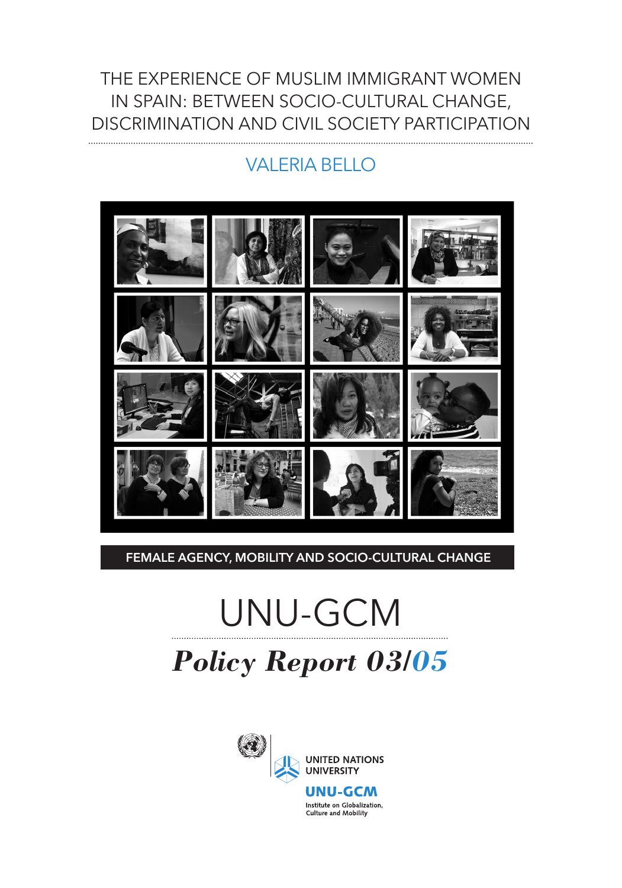#### THE EXPERIENCE OF MUSLIM IMMIGRANT WOMEN IN SPAIN: BETWEEN SOCIO-CULTURAL CHANGE, DISCRIMINATION AND CIVIL SOCIETY PARTICIPATION

#### VALERIA BELLO



#### FEMALE AGENCY, MOBILITY AND SOCIO-CULTURAL CHANGE

# UNU-GCM *Policy Report 03/05*

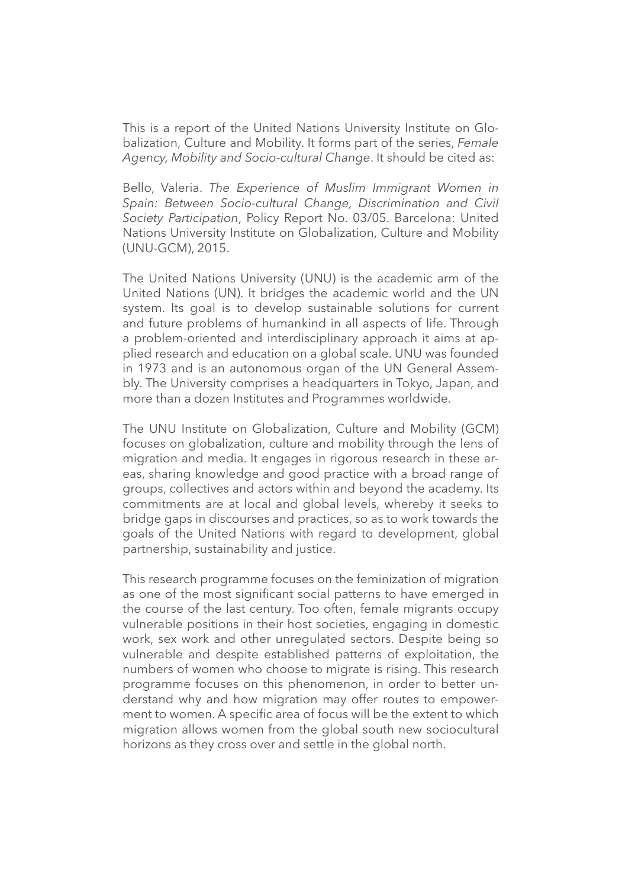This is a report of the United Nations University Institute on Globalization, Culture and Mobility. It forms part of the series, *Female Agency, Mobility and Socio-cultural Change*. It should be cited as:

Bello, Valeria. *The Experience of Muslim Immigrant Women in Spain: Between Socio-cultural Change, Discrimination and Civil Society Participation*, Policy Report No. 03/05. Barcelona: United Nations University Institute on Globalization, Culture and Mobility (UNU-GCM), 2015.

The United Nations University (UNU) is the academic arm of the United Nations (UN). It bridges the academic world and the UN system. Its goal is to develop sustainable solutions for current and future problems of humankind in all aspects of life. Through a problem-oriented and interdisciplinary approach it aims at applied research and education on a global scale. UNU was founded in 1973 and is an autonomous organ of the UN General Assembly. The University comprises a headquarters in Tokyo, Japan, and more than a dozen Institutes and Programmes worldwide.

The UNU Institute on Globalization, Culture and Mobility (GCM) focuses on globalization, culture and mobility through the lens of migration and media. It engages in rigorous research in these areas, sharing knowledge and good practice with a broad range of groups, collectives and actors within and beyond the academy. Its commitments are at local and global levels, whereby it seeks to bridge gaps in discourses and practices, so as to work towards the goals of the United Nations with regard to development, global partnership, sustainability and justice.

This research programme focuses on the feminization of migration as one of the most significant social patterns to have emerged in the course of the last century. Too often, female migrants occupy vulnerable positions in their host societies, engaging in domestic work, sex work and other unregulated sectors. Despite being so vulnerable and despite established patterns of exploitation, the numbers of women who choose to migrate is rising. This research programme focuses on this phenomenon, in order to better understand why and how migration may offer routes to empowerment to women. A specific area of focus will be the extent to which migration allows women from the global south new sociocultural horizons as they cross over and settle in the global north.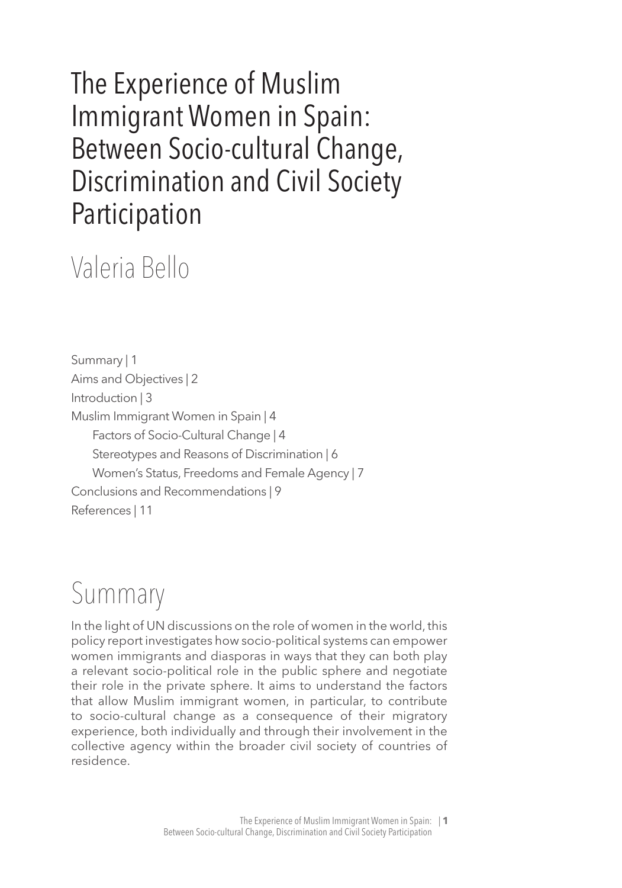### The Experience of Muslim Immigrant Women in Spain: Between Socio-cultural Change, Discrimination and Civil Society Participation

## Valeria Bello

Summary | 1 Aims and Objectives | 2 Introduction | 3 Muslim Immigrant Women in Spain | 4 Factors of Socio-Cultural Change | 4 Stereotypes and Reasons of Discrimination | 6 Women's Status, Freedoms and Female Agency | 7 Conclusions and Recommendations | 9 References | 11

## Summary

In the light of UN discussions on the role of women in the world, this policy report investigates how socio-political systems can empower women immigrants and diasporas in ways that they can both play a relevant socio-political role in the public sphere and negotiate their role in the private sphere. It aims to understand the factors that allow Muslim immigrant women, in particular, to contribute to socio-cultural change as a consequence of their migratory experience, both individually and through their involvement in the collective agency within the broader civil society of countries of residence.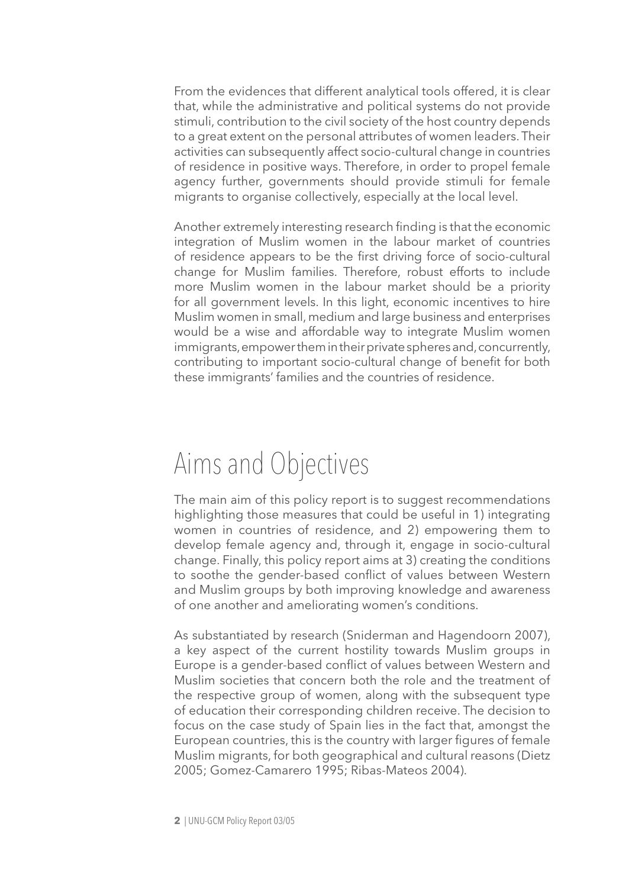From the evidences that different analytical tools offered, it is clear that, while the administrative and political systems do not provide stimuli, contribution to the civil society of the host country depends to a great extent on the personal attributes of women leaders. Their activities can subsequently affect socio-cultural change in countries of residence in positive ways. Therefore, in order to propel female agency further, governments should provide stimuli for female migrants to organise collectively, especially at the local level.

Another extremely interesting research finding is that the economic integration of Muslim women in the labour market of countries of residence appears to be the first driving force of socio-cultural change for Muslim families. Therefore, robust efforts to include more Muslim women in the labour market should be a priority for all government levels. In this light, economic incentives to hire Muslim women in small, medium and large business and enterprises would be a wise and affordable way to integrate Muslim women immigrants, empower them in their private spheres and, concurrently, contributing to important socio-cultural change of benefit for both these immigrants' families and the countries of residence.

### Aims and Objectives

The main aim of this policy report is to suggest recommendations highlighting those measures that could be useful in 1) integrating women in countries of residence, and 2) empowering them to develop female agency and, through it, engage in socio-cultural change. Finally, this policy report aims at 3) creating the conditions to soothe the gender-based conflict of values between Western and Muslim groups by both improving knowledge and awareness of one another and ameliorating women's conditions.

As substantiated by research (Sniderman and Hagendoorn 2007), a key aspect of the current hostility towards Muslim groups in Europe is a gender-based conflict of values between Western and Muslim societies that concern both the role and the treatment of the respective group of women, along with the subsequent type of education their corresponding children receive. The decision to focus on the case study of Spain lies in the fact that, amongst the European countries, this is the country with larger figures of female Muslim migrants, for both geographical and cultural reasons (Dietz 2005; Gomez-Camarero 1995; Ribas-Mateos 2004).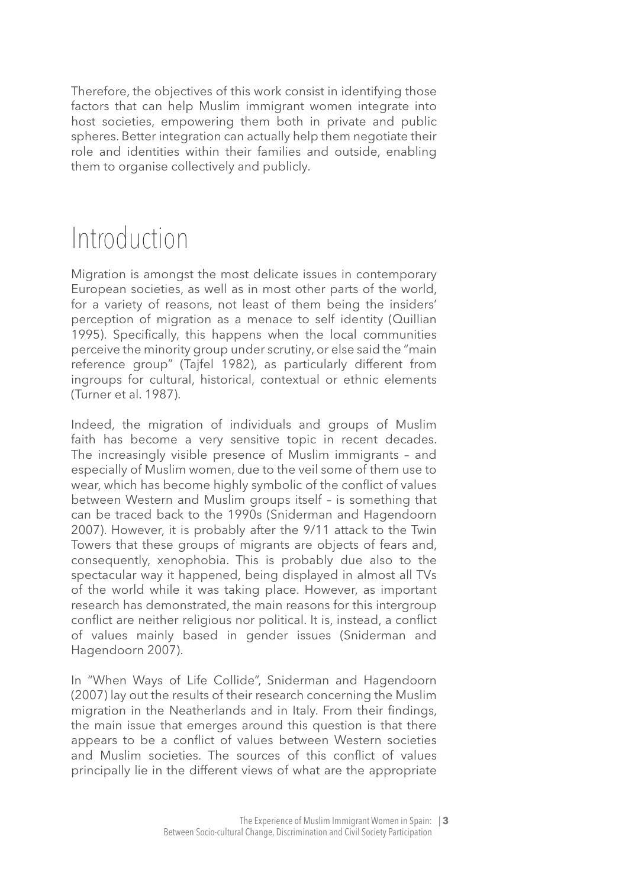Therefore, the objectives of this work consist in identifying those factors that can help Muslim immigrant women integrate into host societies, empowering them both in private and public spheres. Better integration can actually help them negotiate their role and identities within their families and outside, enabling them to organise collectively and publicly.

### Introduction

Migration is amongst the most delicate issues in contemporary European societies, as well as in most other parts of the world, for a variety of reasons, not least of them being the insiders' perception of migration as a menace to self identity (Quillian 1995). Specifically, this happens when the local communities perceive the minority group under scrutiny, or else said the "main reference group" (Tajfel 1982), as particularly different from ingroups for cultural, historical, contextual or ethnic elements (Turner et al. 1987).

Indeed, the migration of individuals and groups of Muslim faith has become a very sensitive topic in recent decades. The increasingly visible presence of Muslim immigrants – and especially of Muslim women, due to the veil some of them use to wear, which has become highly symbolic of the conflict of values between Western and Muslim groups itself – is something that can be traced back to the 1990s (Sniderman and Hagendoorn 2007). However, it is probably after the 9/11 attack to the Twin Towers that these groups of migrants are objects of fears and, consequently, xenophobia. This is probably due also to the spectacular way it happened, being displayed in almost all TVs of the world while it was taking place. However, as important research has demonstrated, the main reasons for this intergroup conflict are neither religious nor political. It is, instead, a conflict of values mainly based in gender issues (Sniderman and Hagendoorn 2007).

In "When Ways of Life Collide", Sniderman and Hagendoorn (2007) lay out the results of their research concerning the Muslim migration in the Neatherlands and in Italy. From their findings, the main issue that emerges around this question is that there appears to be a conflict of values between Western societies and Muslim societies. The sources of this conflict of values principally lie in the different views of what are the appropriate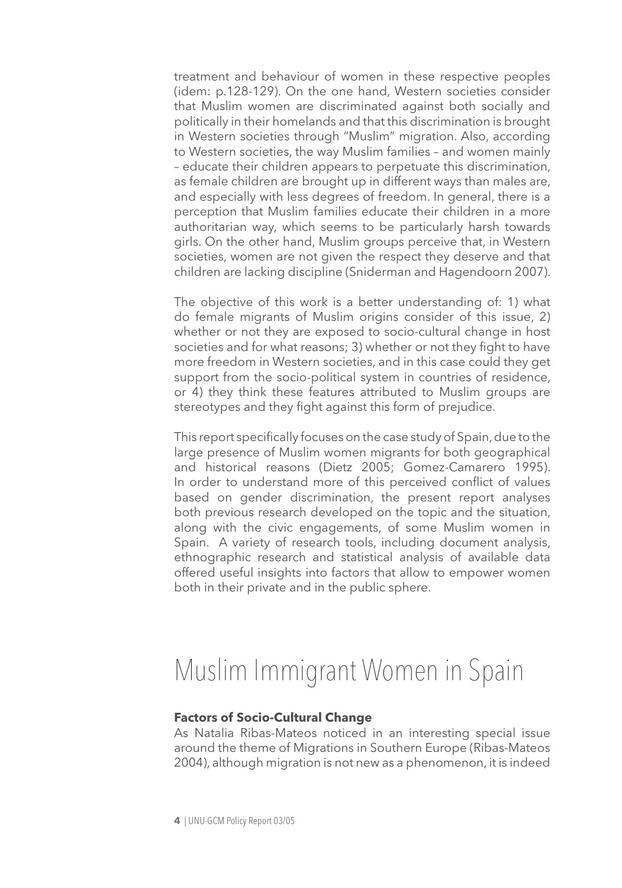treatment and behaviour of women in these respective peoples (idem: p.128-129). On the one hand, Western societies consider that Muslim women are discriminated against both socially and politically in their homelands and that this discrimination is brought in Western societies through "Muslim" migration. Also, according to Western societies, the way Muslim families – and women mainly – educate their children appears to perpetuate this discrimination, as female children are brought up in different ways than males are, and especially with less degrees of freedom. In general, there is a perception that Muslim families educate their children in a more authoritarian way, which seems to be particularly harsh towards girls. On the other hand, Muslim groups perceive that, in Western societies, women are not given the respect they deserve and that children are lacking discipline (Sniderman and Hagendoorn 2007).

The objective of this work is a better understanding of: 1) what do female migrants of Muslim origins consider of this issue, 2) whether or not they are exposed to socio-cultural change in host societies and for what reasons; 3) whether or not they fight to have more freedom in Western societies, and in this case could they get support from the socio-political system in countries of residence, or 4) they think these features attributed to Muslim groups are stereotypes and they fight against this form of prejudice.

This report specifically focuses on the case study of Spain, due to the large presence of Muslim women migrants for both geographical and historical reasons (Dietz 2005; Gomez-Camarero 1995). In order to understand more of this perceived conflict of values based on gender discrimination, the present report analyses both previous research developed on the topic and the situation, along with the civic engagements, of some Muslim women in Spain. A variety of research tools, including document analysis, ethnographic research and statistical analysis of available data offered useful insights into factors that allow to empower women both in their private and in the public sphere.

### Muslim Immigrant Women in Spain

#### **Factors of Socio-Cultural Change**

As Natalia Ribas-Mateos noticed in an interesting special issue around the theme of Migrations in Southern Europe (Ribas-Mateos 2004), although migration is not new as a phenomenon, it is indeed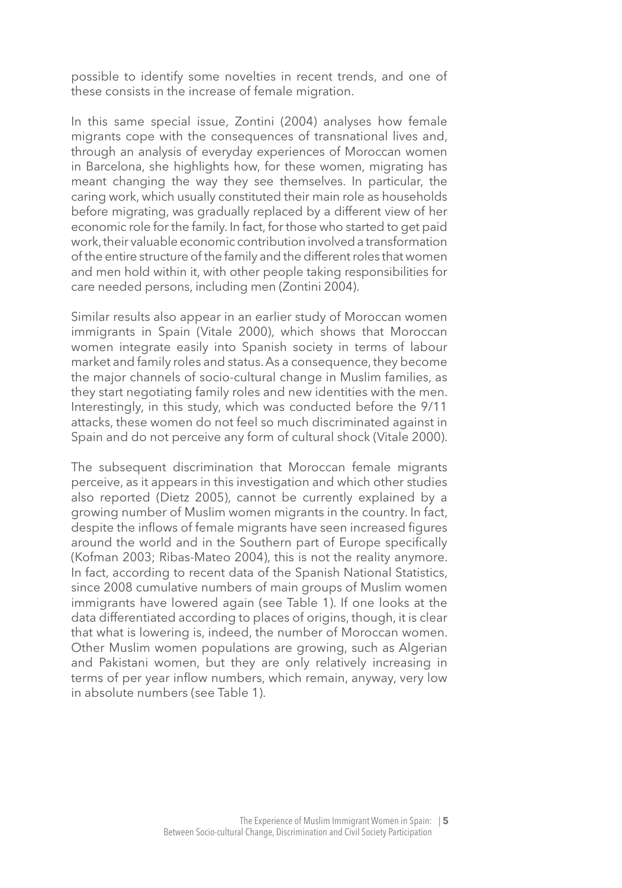possible to identify some novelties in recent trends, and one of these consists in the increase of female migration.

In this same special issue, Zontini (2004) analyses how female migrants cope with the consequences of transnational lives and, through an analysis of everyday experiences of Moroccan women in Barcelona, she highlights how, for these women, migrating has meant changing the way they see themselves. In particular, the caring work, which usually constituted their main role as households before migrating, was gradually replaced by a different view of her economic role for the family. In fact, for those who started to get paid work, their valuable economic contribution involved a transformation of the entire structure of the family and the different roles that women and men hold within it, with other people taking responsibilities for care needed persons, including men (Zontini 2004).

Similar results also appear in an earlier study of Moroccan women immigrants in Spain (Vitale 2000), which shows that Moroccan women integrate easily into Spanish society in terms of labour market and family roles and status. As a consequence, they become the major channels of socio-cultural change in Muslim families, as they start negotiating family roles and new identities with the men. Interestingly, in this study, which was conducted before the 9/11 attacks, these women do not feel so much discriminated against in Spain and do not perceive any form of cultural shock (Vitale 2000).

The subsequent discrimination that Moroccan female migrants perceive, as it appears in this investigation and which other studies also reported (Dietz 2005), cannot be currently explained by a growing number of Muslim women migrants in the country. In fact, despite the inflows of female migrants have seen increased figures around the world and in the Southern part of Europe specifically (Kofman 2003; Ribas-Mateo 2004), this is not the reality anymore. In fact, according to recent data of the Spanish National Statistics, since 2008 cumulative numbers of main groups of Muslim women immigrants have lowered again (see Table 1). If one looks at the data differentiated according to places of origins, though, it is clear that what is lowering is, indeed, the number of Moroccan women. Other Muslim women populations are growing, such as Algerian and Pakistani women, but they are only relatively increasing in terms of per year inflow numbers, which remain, anyway, very low in absolute numbers (see Table 1).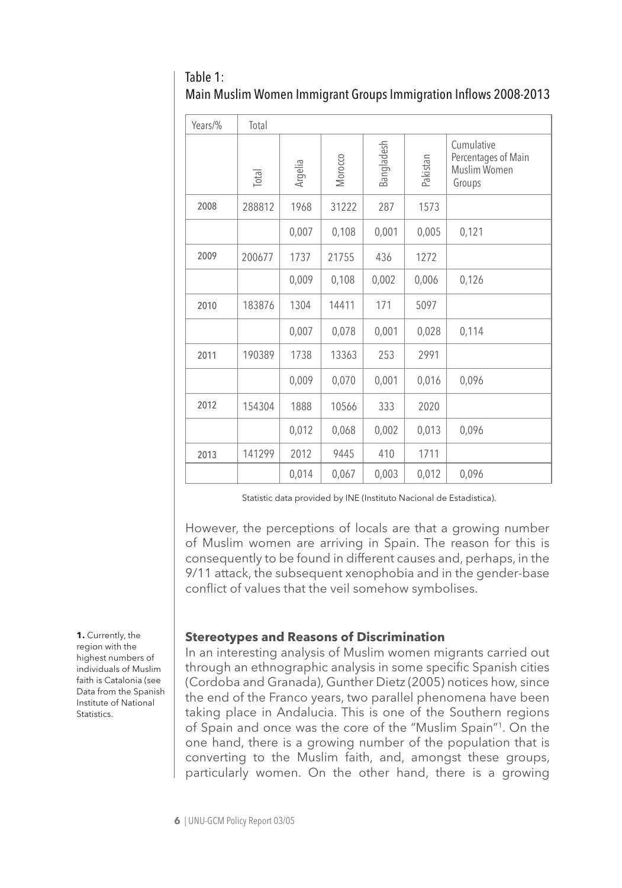| Table 1:                                                         |  |
|------------------------------------------------------------------|--|
| Main Muslim Women Immigrant Groups Immigration Inflows 2008-2013 |  |

| Years/% | Total  |         |         |            |          |                                                             |
|---------|--------|---------|---------|------------|----------|-------------------------------------------------------------|
|         | Total  | Argelia | Morocco | Bangladesh | Pakistan | Cumulative<br>Percentages of Main<br>Muslim Women<br>Groups |
| 2008    | 288812 | 1968    | 31222   | 287        | 1573     |                                                             |
|         |        | 0,007   | 0,108   | 0,001      | 0,005    | 0,121                                                       |
| 2009    | 200677 | 1737    | 21755   | 436        | 1272     |                                                             |
|         |        | 0,009   | 0,108   | 0,002      | 0,006    | 0,126                                                       |
| 2010    | 183876 | 1304    | 14411   | 171        | 5097     |                                                             |
|         |        | 0,007   | 0,078   | 0,001      | 0,028    | 0,114                                                       |
| 2011    | 190389 | 1738    | 13363   | 253        | 2991     |                                                             |
|         |        | 0,009   | 0,070   | 0,001      | 0,016    | 0,096                                                       |
| 2012    | 154304 | 1888    | 10566   | 333        | 2020     |                                                             |
|         |        | 0,012   | 0,068   | 0,002      | 0,013    | 0,096                                                       |
| 2013    | 141299 | 2012    | 9445    | 410        | 1711     |                                                             |
|         |        | 0,014   | 0,067   | 0,003      | 0,012    | 0,096                                                       |

Statistic data provided by INE (Instituto Nacional de Estadistica).

However, the perceptions of locals are that a growing number of Muslim women are arriving in Spain. The reason for this is consequently to be found in different causes and, perhaps, in the 9/11 attack, the subsequent xenophobia and in the gender-base conflict of values that the veil somehow symbolises.

#### **Stereotypes and Reasons of Discrimination**

In an interesting analysis of Muslim women migrants carried out through an ethnographic analysis in some specific Spanish cities (Cordoba and Granada), Gunther Dietz (2005) notices how, since the end of the Franco years, two parallel phenomena have been taking place in Andalucia. This is one of the Southern regions of Spain and once was the core of the "Muslim Spain"1. On the one hand, there is a growing number of the population that is converting to the Muslim faith, and, amongst these groups, particularly women. On the other hand, there is a growing

**1.** Currently, the region with the highest numbers of individuals of Muslim faith is Catalonia (see Data from the Spanish Institute of National Statistics.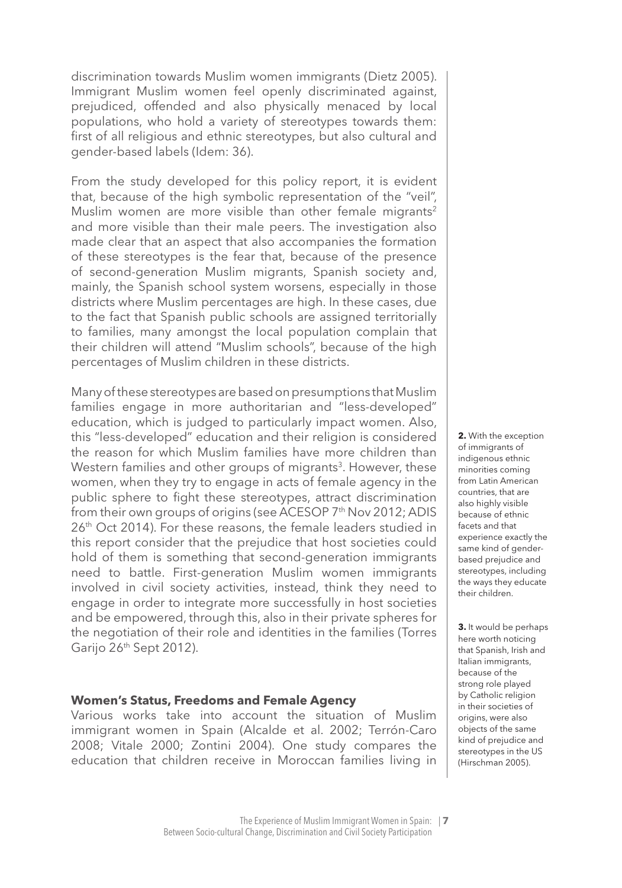discrimination towards Muslim women immigrants (Dietz 2005). Immigrant Muslim women feel openly discriminated against, prejudiced, offended and also physically menaced by local populations, who hold a variety of stereotypes towards them: first of all religious and ethnic stereotypes, but also cultural and gender-based labels (Idem: 36).

From the study developed for this policy report, it is evident that, because of the high symbolic representation of the "veil", Muslim women are more visible than other female migrants<sup>2</sup> and more visible than their male peers. The investigation also made clear that an aspect that also accompanies the formation of these stereotypes is the fear that, because of the presence of second-generation Muslim migrants, Spanish society and, mainly, the Spanish school system worsens, especially in those districts where Muslim percentages are high. In these cases, due to the fact that Spanish public schools are assigned territorially to families, many amongst the local population complain that their children will attend "Muslim schools", because of the high percentages of Muslim children in these districts.

Many of these stereotypes are based on presumptions that Muslim families engage in more authoritarian and "less-developed" education, which is judged to particularly impact women. Also, this "less-developed" education and their religion is considered the reason for which Muslim families have more children than Western families and other groups of migrants<sup>3</sup>. However, these women, when they try to engage in acts of female agency in the public sphere to fight these stereotypes, attract discrimination from their own groups of origins (see ACESOP 7th Nov 2012; ADIS 26th Oct 2014). For these reasons, the female leaders studied in this report consider that the prejudice that host societies could hold of them is something that second-generation immigrants need to battle. First-generation Muslim women immigrants involved in civil society activities, instead, think they need to engage in order to integrate more successfully in host societies and be empowered, through this, also in their private spheres for the negotiation of their role and identities in the families (Torres Garijo 26th Sept 2012).

#### **Women's Status, Freedoms and Female Agency**

Various works take into account the situation of Muslim immigrant women in Spain (Alcalde et al. 2002; Terrón-Caro 2008; Vitale 2000; Zontini 2004). One study compares the education that children receive in Moroccan families living in

**2.** With the exception of immigrants of indigenous ethnic minorities coming from Latin American countries, that are also highly visible because of ethnic facets and that experience exactly the same kind of genderbased prejudice and stereotypes, including the ways they educate their children.

**3.** It would be perhaps here worth noticing that Spanish, Irish and Italian immigrants, because of the strong role played by Catholic religion in their societies of origins, were also objects of the same kind of prejudice and stereotypes in the US (Hirschman 2005).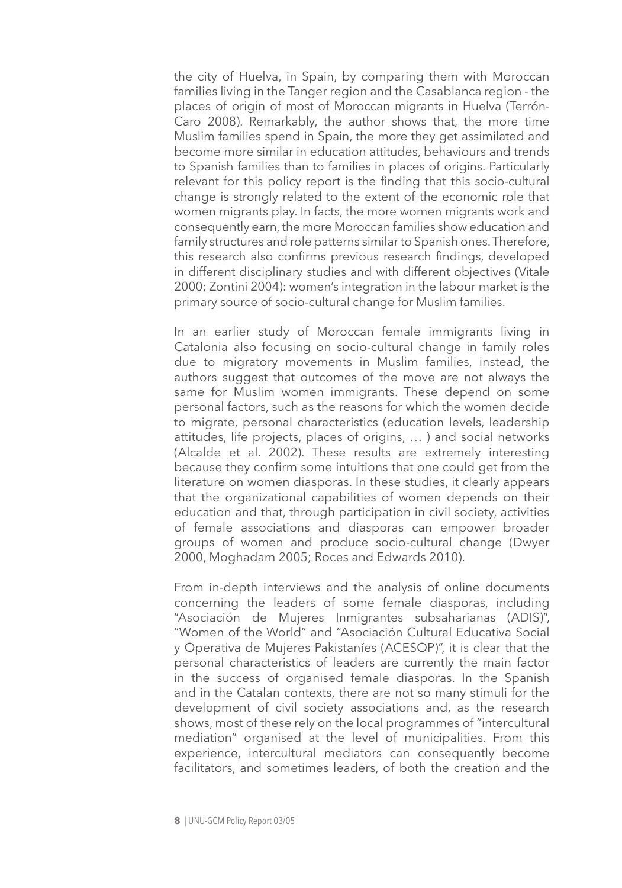the city of Huelva, in Spain, by comparing them with Moroccan families living in the Tanger region and the Casablanca region - the places of origin of most of Moroccan migrants in Huelva (Terrón-Caro 2008). Remarkably, the author shows that, the more time Muslim families spend in Spain, the more they get assimilated and become more similar in education attitudes, behaviours and trends to Spanish families than to families in places of origins. Particularly relevant for this policy report is the finding that this socio-cultural change is strongly related to the extent of the economic role that women migrants play. In facts, the more women migrants work and consequently earn, the more Moroccan families show education and family structures and role patterns similar to Spanish ones. Therefore, this research also confirms previous research findings, developed in different disciplinary studies and with different objectives (Vitale 2000; Zontini 2004): women's integration in the labour market is the primary source of socio-cultural change for Muslim families.

In an earlier study of Moroccan female immigrants living in Catalonia also focusing on socio-cultural change in family roles due to migratory movements in Muslim families, instead, the authors suggest that outcomes of the move are not always the same for Muslim women immigrants. These depend on some personal factors, such as the reasons for which the women decide to migrate, personal characteristics (education levels, leadership attitudes, life projects, places of origins, … ) and social networks (Alcalde et al. 2002). These results are extremely interesting because they confirm some intuitions that one could get from the literature on women diasporas. In these studies, it clearly appears that the organizational capabilities of women depends on their education and that, through participation in civil society, activities of female associations and diasporas can empower broader groups of women and produce socio-cultural change (Dwyer 2000, Moghadam 2005; Roces and Edwards 2010).

From in-depth interviews and the analysis of online documents concerning the leaders of some female diasporas, including "Asociación de Mujeres Inmigrantes subsaharianas (ADIS)", "Women of the World" and "Asociación Cultural Educativa Social y Operativa de Mujeres Pakistaníes (ACESOP)", it is clear that the personal characteristics of leaders are currently the main factor in the success of organised female diasporas. In the Spanish and in the Catalan contexts, there are not so many stimuli for the development of civil society associations and, as the research shows, most of these rely on the local programmes of "intercultural mediation" organised at the level of municipalities. From this experience, intercultural mediators can consequently become facilitators, and sometimes leaders, of both the creation and the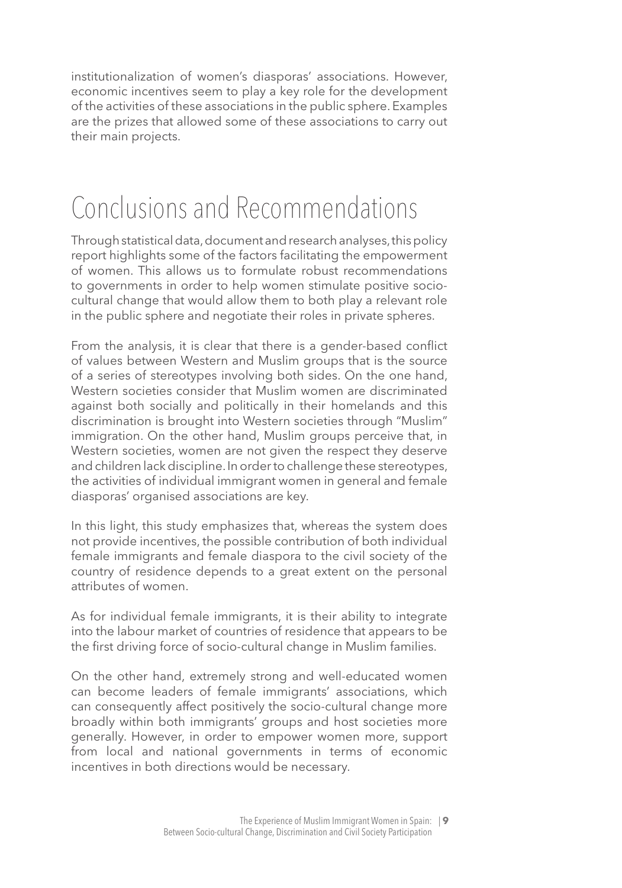institutionalization of women's diasporas' associations. However, economic incentives seem to play a key role for the development of the activities of these associations in the public sphere. Examples are the prizes that allowed some of these associations to carry out their main projects.

### Conclusions and Recommendations

Through statistical data, document and research analyses, this policy report highlights some of the factors facilitating the empowerment of women. This allows us to formulate robust recommendations to governments in order to help women stimulate positive sociocultural change that would allow them to both play a relevant role in the public sphere and negotiate their roles in private spheres.

From the analysis, it is clear that there is a gender-based conflict of values between Western and Muslim groups that is the source of a series of stereotypes involving both sides. On the one hand, Western societies consider that Muslim women are discriminated against both socially and politically in their homelands and this discrimination is brought into Western societies through "Muslim" immigration. On the other hand, Muslim groups perceive that, in Western societies, women are not given the respect they deserve and children lack discipline. In order to challenge these stereotypes, the activities of individual immigrant women in general and female diasporas' organised associations are key.

In this light, this study emphasizes that, whereas the system does not provide incentives, the possible contribution of both individual female immigrants and female diaspora to the civil society of the country of residence depends to a great extent on the personal attributes of women.

As for individual female immigrants, it is their ability to integrate into the labour market of countries of residence that appears to be the first driving force of socio-cultural change in Muslim families.

On the other hand, extremely strong and well-educated women can become leaders of female immigrants' associations, which can consequently affect positively the socio-cultural change more broadly within both immigrants' groups and host societies more generally. However, in order to empower women more, support from local and national governments in terms of economic incentives in both directions would be necessary.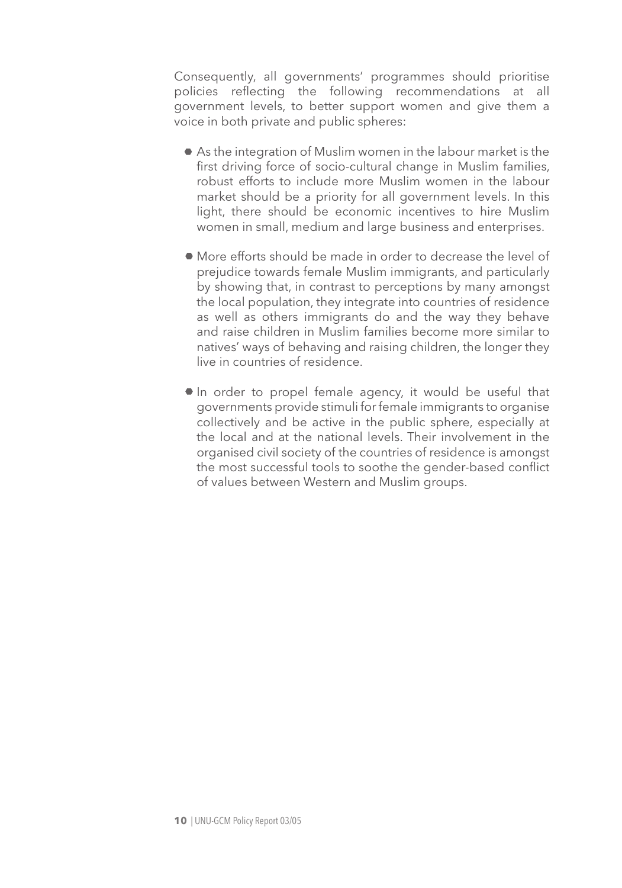Consequently, all governments' programmes should prioritise policies reflecting the following recommendations at all government levels, to better support women and give them a voice in both private and public spheres:

- As the integration of Muslim women in the labour market is the first driving force of socio-cultural change in Muslim families, robust efforts to include more Muslim women in the labour market should be a priority for all government levels. In this light, there should be economic incentives to hire Muslim women in small, medium and large business and enterprises.
- More efforts should be made in order to decrease the level of prejudice towards female Muslim immigrants, and particularly by showing that, in contrast to perceptions by many amongst the local population, they integrate into countries of residence as well as others immigrants do and the way they behave and raise children in Muslim families become more similar to natives' ways of behaving and raising children, the longer they live in countries of residence.
- In order to propel female agency, it would be useful that governments provide stimuli for female immigrants to organise collectively and be active in the public sphere, especially at the local and at the national levels. Their involvement in the organised civil society of the countries of residence is amongst the most successful tools to soothe the gender-based conflict of values between Western and Muslim groups.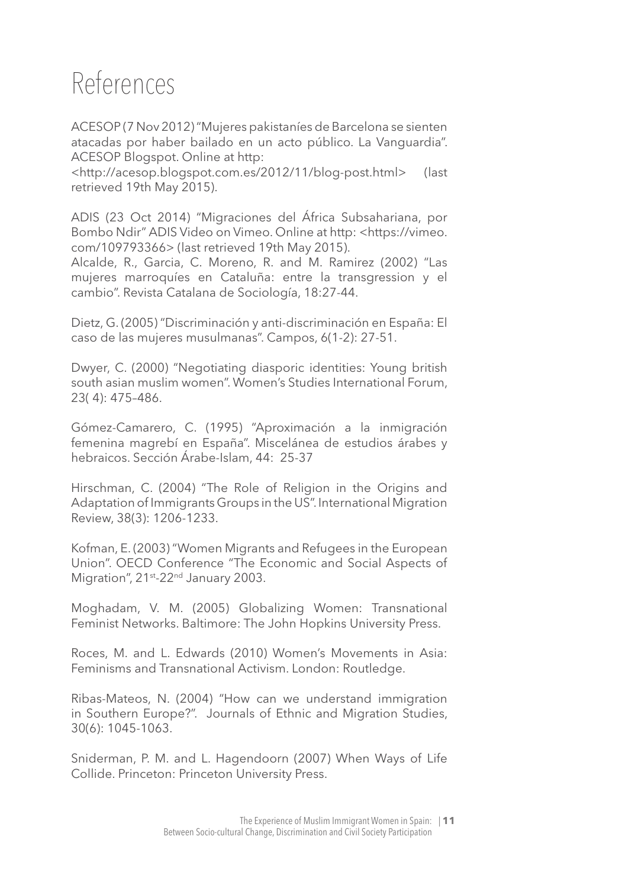### References

ACESOP (7 Nov 2012) "Mujeres pakistaníes de Barcelona se sienten atacadas por haber bailado en un acto público. La Vanguardia". ACESOP Blogspot. Online at http:

<http://acesop.blogspot.com.es/2012/11/blog-post.html> (last retrieved 19th May 2015).

ADIS (23 Oct 2014) "Migraciones del África Subsahariana, por Bombo Ndir" ADIS Video on Vimeo. Online at http: <https://vimeo. com/109793366> (last retrieved 19th May 2015).

Alcalde, R., Garcia, C. Moreno, R. and M. Ramirez (2002) "Las mujeres marroquíes en Cataluña: entre la transgression y el cambio". Revista Catalana de Sociología, 18:27-44.

Dietz, G. (2005) "Discriminación y anti-discriminación en España: El caso de las mujeres musulmanas". Campos, 6(1-2): 27-51.

Dwyer, C. (2000) "Negotiating diasporic identities: Young british south asian muslim women". Women's Studies International Forum, 23( 4): 475–486.

Gómez-Camarero, C. (1995) "Aproximación a la inmigración femenina magrebí en España". Miscelánea de estudios árabes y hebraicos. Sección Árabe-Islam, 44: 25-37

Hirschman, C. (2004) "The Role of Religion in the Origins and Adaptation of Immigrants Groups in the US". International Migration Review, 38(3): 1206-1233.

Kofman, E. (2003) "Women Migrants and Refugees in the European Union". OECD Conference "The Economic and Social Aspects of Migration", 21<sup>st</sup>-22<sup>nd</sup> January 2003.

Moghadam, V. M. (2005) Globalizing Women: Transnational Feminist Networks. Baltimore: The John Hopkins University Press.

Roces, M. and L. Edwards (2010) Women's Movements in Asia: Feminisms and Transnational Activism. London: Routledge.

Ribas-Mateos, N. (2004) "How can we understand immigration in Southern Europe?". Journals of Ethnic and Migration Studies, 30(6): 1045-1063.

Sniderman, P. M. and L. Hagendoorn (2007) When Ways of Life Collide. Princeton: Princeton University Press.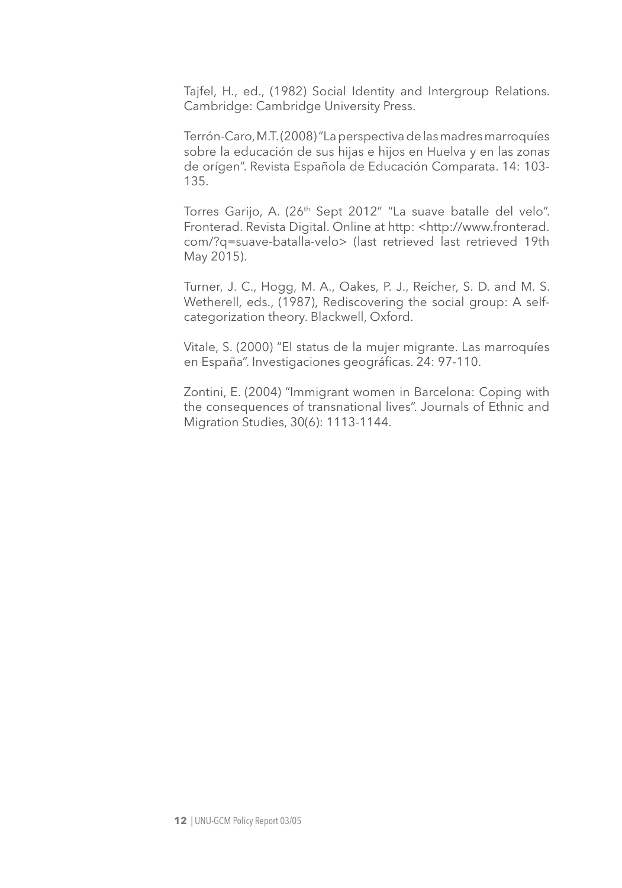Tajfel, H., ed., (1982) Social Identity and Intergroup Relations. Cambridge: Cambridge University Press.

Terrón-Caro, M.T. (2008) "La perspectiva de las madres marroquíes sobre la educación de sus hijas e hijos en Huelva y en las zonas de orígen". Revista Española de Educación Comparata. 14: 103- 135.

Torres Garijo, A. (26<sup>th</sup> Sept 2012" "La suave batalle del velo". Fronterad. Revista Digital. Online at http: <http://www.fronterad. com/?q=suave-batalla-velo> (last retrieved last retrieved 19th May 2015).

Turner, J. C., Hogg, M. A., Oakes, P. J., Reicher, S. D. and M. S. Wetherell, eds., (1987), Rediscovering the social group: A selfcategorization theory. Blackwell, Oxford.

Vitale, S. (2000) "El status de la mujer migrante. Las marroquíes en España". Investigaciones geográficas. 24: 97-110.

Zontini, E. (2004) "Immigrant women in Barcelona: Coping with the consequences of transnational lives". Journals of Ethnic and Migration Studies, 30(6): 1113-1144.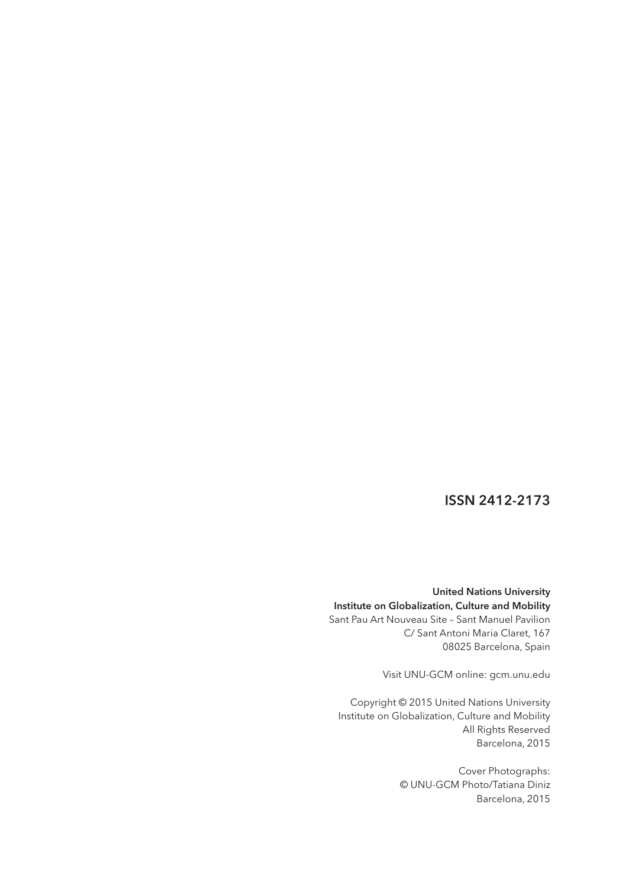#### ISSN 2412-2173

United Nations University Institute on Globalization, Culture and Mobility Sant Pau Art Nouveau Site – Sant Manuel Pavilion C/ Sant Antoni Maria Claret, 167 08025 Barcelona, Spain

Visit UNU-GCM online: gcm.unu.edu

Copyright © 2015 United Nations University Institute on Globalization, Culture and Mobility All Rights Reserved Barcelona, 2015

> Cover Photographs: © UNU-GCM Photo/Tatiana Diniz Barcelona, 2015